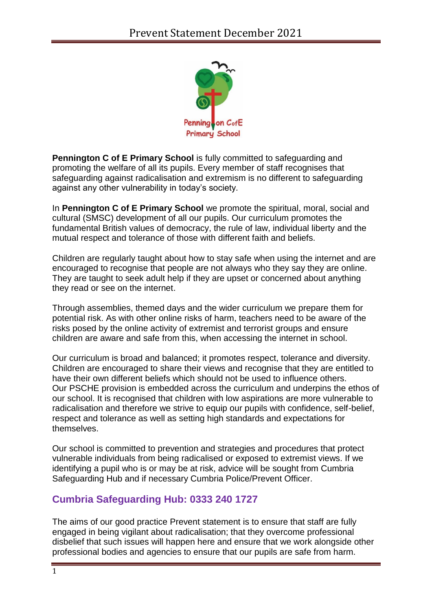

**Pennington C of E Primary School** is fully committed to safeguarding and promoting the welfare of all its pupils. Every member of staff recognises that safeguarding against radicalisation and extremism is no different to safeguarding against any other vulnerability in today's society*.*

In **Pennington C of E Primary School** we promote the spiritual, moral, social and cultural (SMSC) development of all our pupils. Our curriculum promotes the fundamental British values of democracy, the rule of law, individual liberty and the mutual respect and tolerance of those with different faith and beliefs.

Children are regularly taught about how to stay safe when using the internet and are encouraged to recognise that people are not always who they say they are online. They are taught to seek adult help if they are upset or concerned about anything they read or see on the internet.

Through assemblies, themed days and the wider curriculum we prepare them for potential risk. As with other online risks of harm, teachers need to be aware of the risks posed by the online activity of extremist and terrorist groups and ensure children are aware and safe from this, when accessing the internet in school.

Our curriculum is broad and balanced; it promotes respect, tolerance and diversity. Children are encouraged to share their views and recognise that they are entitled to have their own different beliefs which should not be used to influence others. Our PSCHE provision is embedded across the curriculum and underpins the ethos of our school. It is recognised that children with low aspirations are more vulnerable to radicalisation and therefore we strive to equip our pupils with confidence, self-belief, respect and tolerance as well as setting high standards and expectations for themselves.

Our school is committed to prevention and strategies and procedures that protect vulnerable individuals from being radicalised or exposed to extremist views. If we identifying a pupil who is or may be at risk, advice will be sought from Cumbria Safeguarding Hub and if necessary Cumbria Police/Prevent Officer.

## **Cumbria Safeguarding Hub: 0333 240 1727**

The aims of our good practice Prevent statement is to ensure that staff are fully engaged in being vigilant about radicalisation; that they overcome professional disbelief that such issues will happen here and ensure that we work alongside other professional bodies and agencies to ensure that our pupils are safe from harm.